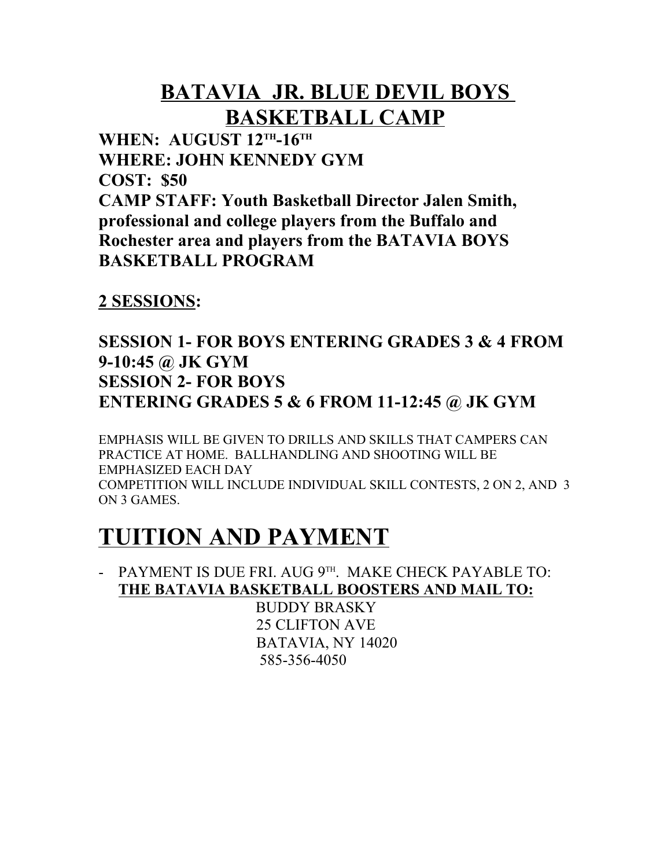### **BATAVIA JR. BLUE DEVIL BOYS BASKETBALL CAMP**

**WHEN: AUGUST 12TH-16TH WHERE: JOHN KENNEDY GYM COST: \$50 CAMP STAFF: Youth Basketball Director Jalen Smith, professional and college players from the Buffalo and Rochester area and players from the BATAVIA BOYS BASKETBALL PROGRAM**

#### **2 SESSIONS:**

### **SESSION 1- FOR BOYS ENTERING GRADES 3 & 4 FROM 9-10:45 @ JK GYM SESSION 2- FOR BOYS ENTERING GRADES 5 & 6 FROM 11-12:45 @ JK GYM**

EMPHASIS WILL BE GIVEN TO DRILLS AND SKILLS THAT CAMPERS CAN PRACTICE AT HOME. BALLHANDLING AND SHOOTING WILL BE EMPHASIZED EACH DAY COMPETITION WILL INCLUDE INDIVIDUAL SKILL CONTESTS, 2 ON 2, AND 3 ON 3 GAMES.

## **TUITION AND PAYMENT**

- PAYMENT IS DUE FRI. AUG 9TH. MAKE CHECK PAYABLE TO: **THE BATAVIA BASKETBALL BOOSTERS AND MAIL TO:**

> BUDDY BRASKY 25 CLIFTON AVE BATAVIA, NY 14020 585-356-4050